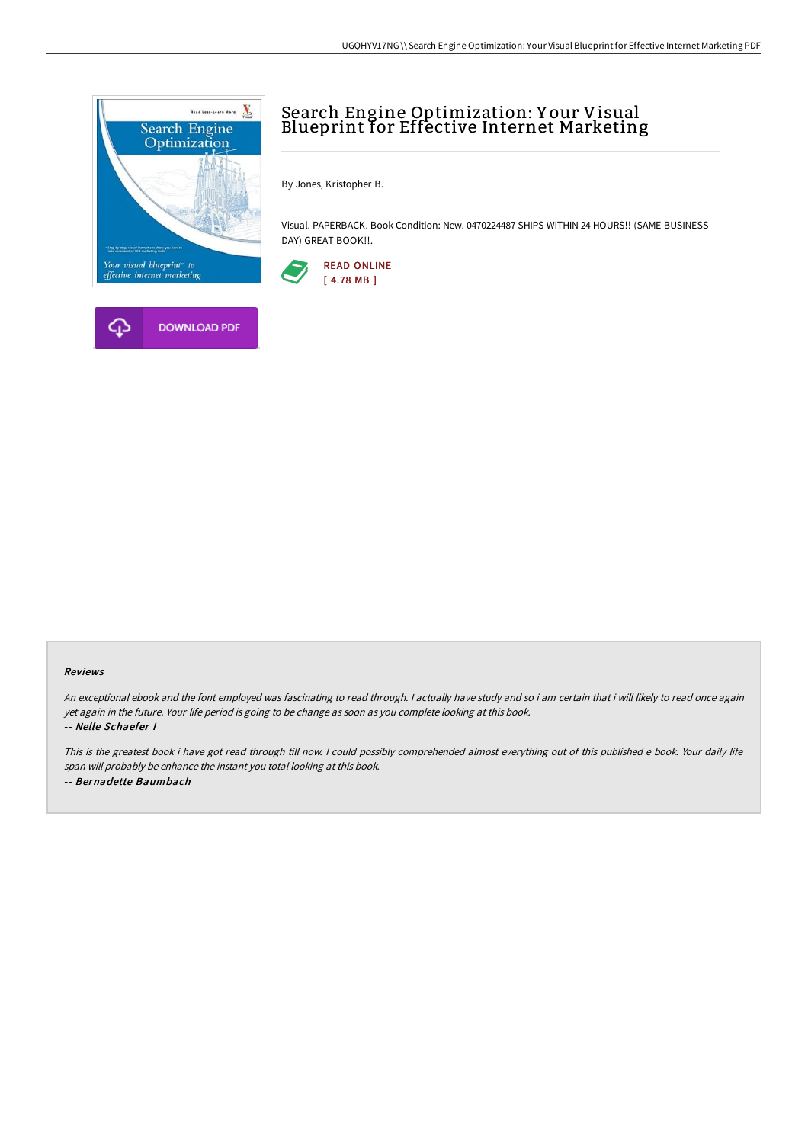



By Jones, Kristopher B.

Visual. PAPERBACK. Book Condition: New. 0470224487 SHIPS WITHIN 24 HOURS!! (SAME BUSINESS DAY) GREAT BOOK!!.



## Reviews

An exceptional ebook and the font employed was fascinating to read through. <sup>I</sup> actually have study and so i am certain that i will likely to read once again yet again in the future. Your life period is going to be change as soon as you complete looking at this book. -- Nelle Schaefer I

This is the greatest book i have got read through till now. <sup>I</sup> could possibly comprehended almost everything out of this published <sup>e</sup> book. Your daily life span will probably be enhance the instant you total looking at this book. -- Bernadette Baumbach